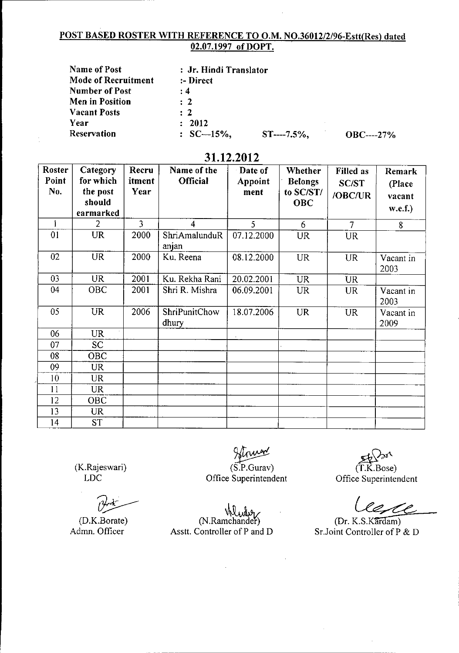## POST BASED ROSTER WITH REFERENCE TO O.M. NO.36012/2/96-Estt(Res) dated 02.07.1997 of DOPT.

| <b>Name of Post</b>        | : Jr. Hindi Translator |             |               |
|----------------------------|------------------------|-------------|---------------|
| <b>Mode of Recruitment</b> | :- Direct              |             |               |
| <b>Number of Post</b>      | $\div 4$               |             |               |
| Men in Position            | $\therefore$ 2         |             |               |
| <b>Vacant Posts</b>        | $\therefore$ 2         |             |               |
| Year                       | : 2012                 |             |               |
| <b>Reservation</b>         | $SC-15%$               | $ST---7.5%$ | $OBC$ ----27% |

## 31.12.2012

| <b>Roster</b><br>Point<br>No. | Category<br>for which<br>the post<br>should<br>earmarked | Recru<br>itment<br>Year | Name of the<br>Official       | Date of<br>Appoint<br>ment | Whether<br><b>Belongs</b><br>to SC/ST/<br><b>OBC</b> | <b>Filled</b> as<br><b>SC/ST</b><br>/OBC/UR | Remark<br>(Place<br>vacant<br>w.e.f.) |
|-------------------------------|----------------------------------------------------------|-------------------------|-------------------------------|----------------------------|------------------------------------------------------|---------------------------------------------|---------------------------------------|
| $\mathbf{I}$                  | $\overline{2}$                                           | $\overline{3}$          | 4                             | 5                          | 6                                                    | $\overline{7}$                              | 8                                     |
| 0 <sub>1</sub>                | <b>UR</b>                                                | 2000                    | ShriAmalunduR<br>anjan        | 07.12.2000                 | <b>UR</b>                                            | <b>UR</b>                                   |                                       |
| 02                            | <b>UR</b>                                                | 2000                    | Ku. Reena                     | 08.12.2000                 | <b>UR</b>                                            | <b>UR</b>                                   | Vacant in<br>2003                     |
| 03                            | <b>UR</b>                                                | 2001                    | Ku. Rekha Rani                | 20.02.2001                 | <b>UR</b>                                            | <b>UR</b>                                   |                                       |
| 04                            | <b>OBC</b>                                               | 2001                    | Shri R. Mishra                | 06.09.2001                 | <b>UR</b>                                            | <b>UR</b>                                   | Vacant in<br>2003                     |
| 05                            | <b>UR</b>                                                | 2006                    | <b>ShriPunitChow</b><br>dhury | 18.07.2006                 | <b>UR</b>                                            | <b>UR</b>                                   | Vacant in<br>2009                     |
| 06                            | <b>UR</b>                                                |                         |                               |                            |                                                      |                                             |                                       |
| 07                            | SC                                                       |                         |                               |                            |                                                      |                                             |                                       |
| 08                            | <b>OBC</b>                                               |                         |                               |                            |                                                      |                                             |                                       |
| 09                            | <b>UR</b>                                                |                         |                               |                            |                                                      |                                             |                                       |
| 10                            | UR.                                                      |                         |                               |                            |                                                      |                                             |                                       |
| 11                            | <b>UR</b>                                                |                         |                               |                            |                                                      |                                             |                                       |
| 12                            | <b>OBC</b>                                               |                         |                               |                            |                                                      |                                             |                                       |
| 13                            | <b>UR</b>                                                |                         |                               |                            |                                                      |                                             |                                       |
| 14                            | <b>ST</b>                                                |                         |                               |                            |                                                      |                                             |                                       |

(K.Rajeswari) LDC

(D.K.Borate) Admn. Officer

 $(S.P.Gurav)$ Office Superintendent

(T.K Bose) Office Superintendent

(Dr. K.S.Kardam) Sr. Joint Controller of  $\overrightarrow{P}$  & D

Munity<br>(N.Ramchander) Asstt. Controller of P and D